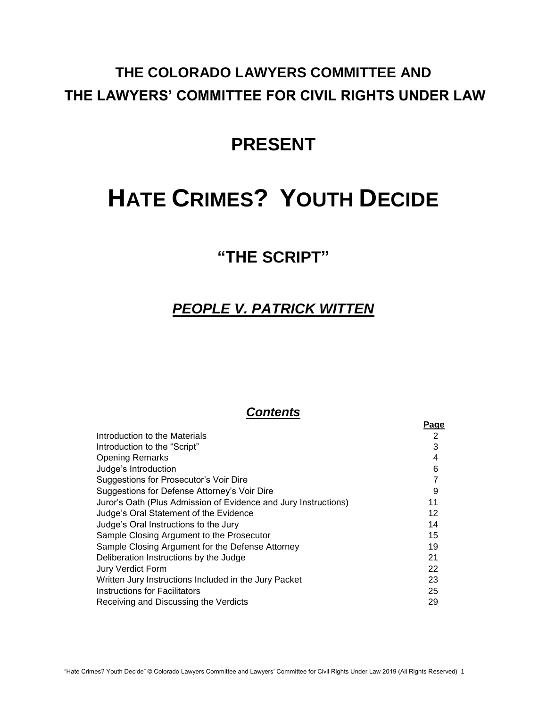# **THE COLORADO LAWYERS COMMITTEE AND THE LAWYERS' COMMITTEE FOR CIVIL RIGHTS UNDER LAW**

# **PRESENT**

# **HATE CRIMES? YOUTH DECIDE**

# **"THE SCRIPT"**

# *PEOPLE V. PATRICK WITTEN*

# *Contents*

|                                                                 | <b>Page</b> |
|-----------------------------------------------------------------|-------------|
| Introduction to the Materials                                   | 2           |
| Introduction to the "Script"                                    | 3           |
| <b>Opening Remarks</b>                                          | 4           |
| Judge's Introduction                                            | 6           |
| Suggestions for Prosecutor's Voir Dire                          | 7           |
| Suggestions for Defense Attorney's Voir Dire                    | 9           |
| Juror's Oath (Plus Admission of Evidence and Jury Instructions) | 11          |
| Judge's Oral Statement of the Evidence                          | 12          |
| Judge's Oral Instructions to the Jury                           | 14          |
| Sample Closing Argument to the Prosecutor                       | 15          |
| Sample Closing Argument for the Defense Attorney                | 19          |
| Deliberation Instructions by the Judge                          | 21          |
| <b>Jury Verdict Form</b>                                        | 22          |
| Written Jury Instructions Included in the Jury Packet           | 23          |
| Instructions for Facilitators                                   | 25          |
| Receiving and Discussing the Verdicts                           | 29          |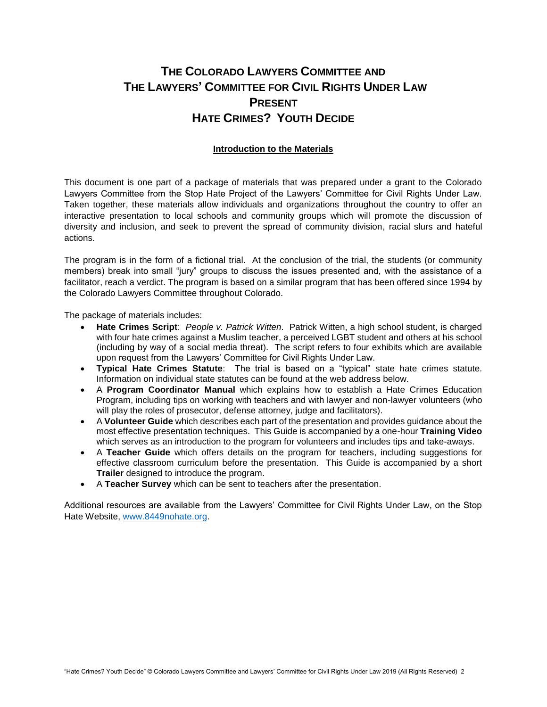# **THE COLORADO LAWYERS COMMITTEE AND THE LAWYERS' COMMITTEE FOR CIVIL RIGHTS UNDER LAW PRESENT HATE CRIMES? YOUTH DECIDE**

#### **Introduction to the Materials**

This document is one part of a package of materials that was prepared under a grant to the Colorado Lawyers Committee from the Stop Hate Project of the Lawyers' Committee for Civil Rights Under Law. Taken together, these materials allow individuals and organizations throughout the country to offer an interactive presentation to local schools and community groups which will promote the discussion of diversity and inclusion, and seek to prevent the spread of community division, racial slurs and hateful actions.

The program is in the form of a fictional trial. At the conclusion of the trial, the students (or community members) break into small "jury" groups to discuss the issues presented and, with the assistance of a facilitator, reach a verdict. The program is based on a similar program that has been offered since 1994 by the Colorado Lawyers Committee throughout Colorado.

The package of materials includes:

- **Hate Crimes Script**: *People v. Patrick Witten*. Patrick Witten, a high school student, is charged with four hate crimes against a Muslim teacher, a perceived LGBT student and others at his school (including by way of a social media threat). The script refers to four exhibits which are available upon request from the Lawyers' Committee for Civil Rights Under Law.
- **Typical Hate Crimes Statute**: The trial is based on a "typical" state hate crimes statute. Information on individual state statutes can be found at the web address below.
- A **Program Coordinator Manual** which explains how to establish a Hate Crimes Education Program, including tips on working with teachers and with lawyer and non-lawyer volunteers (who will play the roles of prosecutor, defense attorney, judge and facilitators).
- A **Volunteer Guide** which describes each part of the presentation and provides guidance about the most effective presentation techniques. This Guide is accompanied by a one-hour **Training Video** which serves as an introduction to the program for volunteers and includes tips and take-aways.
- A **Teacher Guide** which offers details on the program for teachers, including suggestions for effective classroom curriculum before the presentation. This Guide is accompanied by a short **Trailer** designed to introduce the program.
- A **Teacher Survey** which can be sent to teachers after the presentation.

Additional resources are available from the Lawyers' Committee for Civil Rights Under Law, on the Stop Hate Website, [www.8449nohate.org.](http://www.8449nohate.org/)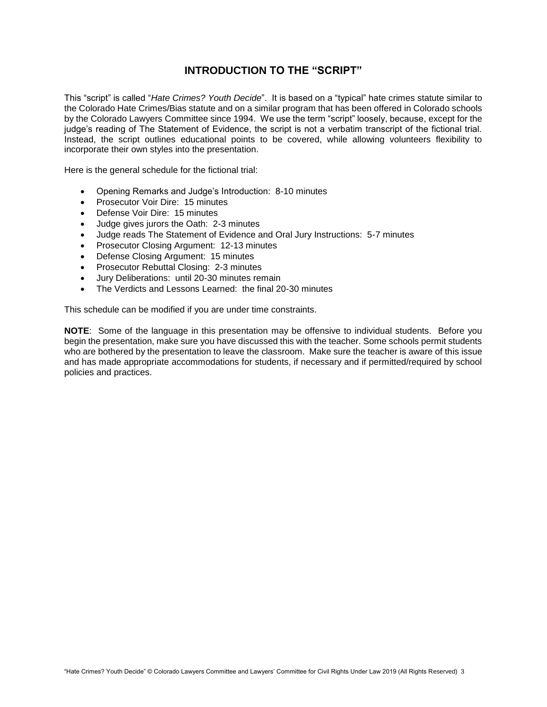### **INTRODUCTION TO THE "SCRIPT"**

This "script" is called "*Hate Crimes? Youth Decide*". It is based on a "typical" hate crimes statute similar to the Colorado Hate Crimes/Bias statute and on a similar program that has been offered in Colorado schools by the Colorado Lawyers Committee since 1994. We use the term "script" loosely, because, except for the judge's reading of The Statement of Evidence, the script is not a verbatim transcript of the fictional trial. Instead, the script outlines educational points to be covered, while allowing volunteers flexibility to incorporate their own styles into the presentation.

Here is the general schedule for the fictional trial:

- Opening Remarks and Judge's Introduction: 8-10 minutes
- Prosecutor Voir Dire: 15 minutes
- Defense Voir Dire: 15 minutes
- Judge gives jurors the Oath: 2-3 minutes
- Judge reads The Statement of Evidence and Oral Jury Instructions: 5-7 minutes
- Prosecutor Closing Argument: 12-13 minutes
- Defense Closing Argument: 15 minutes
- Prosecutor Rebuttal Closing: 2-3 minutes
- Jury Deliberations: until 20-30 minutes remain
- The Verdicts and Lessons Learned: the final 20-30 minutes

This schedule can be modified if you are under time constraints.

**NOTE**: Some of the language in this presentation may be offensive to individual students. Before you begin the presentation, make sure you have discussed this with the teacher. Some schools permit students who are bothered by the presentation to leave the classroom. Make sure the teacher is aware of this issue and has made appropriate accommodations for students, if necessary and if permitted/required by school policies and practices.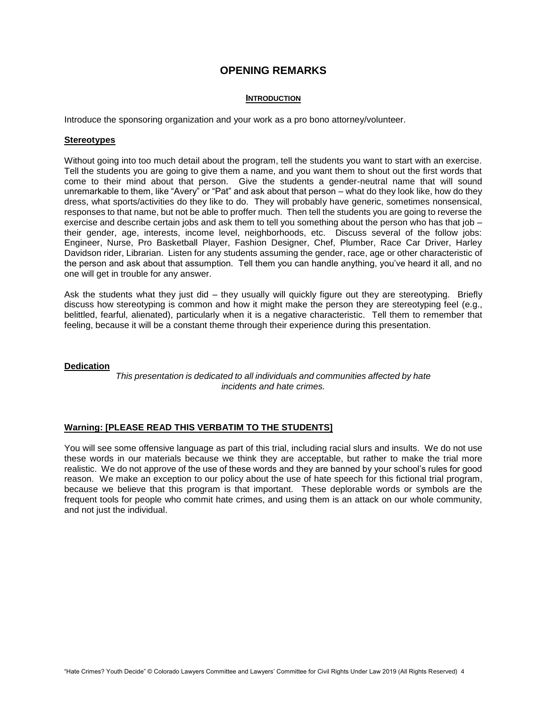### **OPENING REMARKS**

#### **INTRODUCTION**

Introduce the sponsoring organization and your work as a pro bono attorney/volunteer.

#### **Stereotypes**

Without going into too much detail about the program, tell the students you want to start with an exercise. Tell the students you are going to give them a name, and you want them to shout out the first words that come to their mind about that person. Give the students a gender-neutral name that will sound unremarkable to them, like "Avery" or "Pat" and ask about that person – what do they look like, how do they dress, what sports/activities do they like to do. They will probably have generic, sometimes nonsensical, responses to that name, but not be able to proffer much. Then tell the students you are going to reverse the exercise and describe certain jobs and ask them to tell you something about the person who has that job – their gender, age, interests, income level, neighborhoods, etc. Discuss several of the follow jobs: Engineer, Nurse, Pro Basketball Player, Fashion Designer, Chef, Plumber, Race Car Driver, Harley Davidson rider, Librarian. Listen for any students assuming the gender, race, age or other characteristic of the person and ask about that assumption. Tell them you can handle anything, you've heard it all, and no one will get in trouble for any answer.

Ask the students what they just did – they usually will quickly figure out they are stereotyping. Briefly discuss how stereotyping is common and how it might make the person they are stereotyping feel (e.g., belittled, fearful, alienated), particularly when it is a negative characteristic. Tell them to remember that feeling, because it will be a constant theme through their experience during this presentation.

#### **Dedication**

*This presentation is dedicated to all individuals and communities affected by hate incidents and hate crimes.*

#### **Warning: [PLEASE READ THIS VERBATIM TO THE STUDENTS]**

You will see some offensive language as part of this trial, including racial slurs and insults. We do not use these words in our materials because we think they are acceptable, but rather to make the trial more realistic. We do not approve of the use of these words and they are banned by your school's rules for good reason. We make an exception to our policy about the use of hate speech for this fictional trial program, because we believe that this program is that important. These deplorable words or symbols are the frequent tools for people who commit hate crimes, and using them is an attack on our whole community, and not just the individual.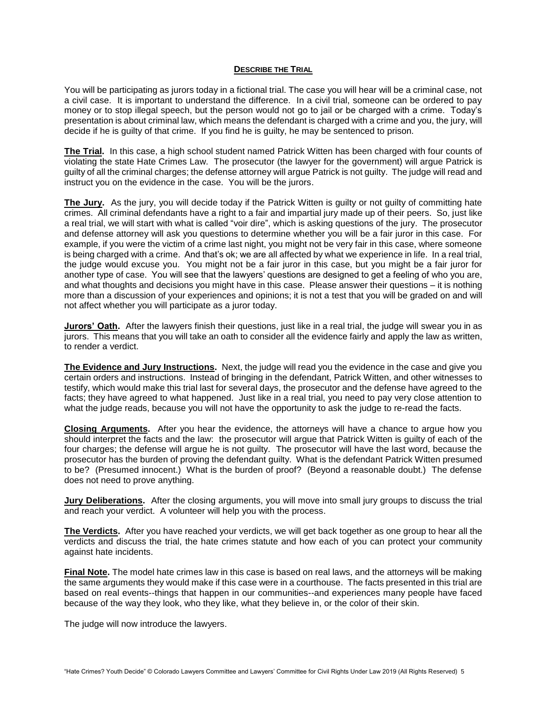#### **DESCRIBE THE TRIAL**

You will be participating as jurors today in a fictional trial. The case you will hear will be a criminal case, not a civil case. It is important to understand the difference. In a civil trial, someone can be ordered to pay money or to stop illegal speech, but the person would not go to jail or be charged with a crime. Today's presentation is about criminal law, which means the defendant is charged with a crime and you, the jury, will decide if he is guilty of that crime. If you find he is guilty, he may be sentenced to prison.

**The Trial.** In this case, a high school student named Patrick Witten has been charged with four counts of violating the state Hate Crimes Law. The prosecutor (the lawyer for the government) will argue Patrick is guilty of all the criminal charges; the defense attorney will argue Patrick is not guilty. The judge will read and instruct you on the evidence in the case. You will be the jurors.

**The Jury.** As the jury, you will decide today if the Patrick Witten is guilty or not guilty of committing hate crimes. All criminal defendants have a right to a fair and impartial jury made up of their peers. So, just like a real trial, we will start with what is called "voir dire", which is asking questions of the jury. The prosecutor and defense attorney will ask you questions to determine whether you will be a fair juror in this case. For example, if you were the victim of a crime last night, you might not be very fair in this case, where someone is being charged with a crime. And that's ok; we are all affected by what we experience in life. In a real trial, the judge would excuse you. You might not be a fair juror in this case, but you might be a fair juror for another type of case. You will see that the lawyers' questions are designed to get a feeling of who you are, and what thoughts and decisions you might have in this case. Please answer their questions – it is nothing more than a discussion of your experiences and opinions; it is not a test that you will be graded on and will not affect whether you will participate as a juror today.

**Jurors' Oath.** After the lawyers finish their questions, just like in a real trial, the judge will swear you in as jurors. This means that you will take an oath to consider all the evidence fairly and apply the law as written, to render a verdict.

**The Evidence and Jury Instructions.** Next, the judge will read you the evidence in the case and give you certain orders and instructions. Instead of bringing in the defendant, Patrick Witten, and other witnesses to testify, which would make this trial last for several days, the prosecutor and the defense have agreed to the facts; they have agreed to what happened. Just like in a real trial, you need to pay very close attention to what the judge reads, because you will not have the opportunity to ask the judge to re-read the facts.

**Closing Arguments.** After you hear the evidence, the attorneys will have a chance to argue how you should interpret the facts and the law: the prosecutor will argue that Patrick Witten is guilty of each of the four charges; the defense will argue he is not guilty. The prosecutor will have the last word, because the prosecutor has the burden of proving the defendant guilty. What is the defendant Patrick Witten presumed to be? (Presumed innocent.) What is the burden of proof? (Beyond a reasonable doubt.) The defense does not need to prove anything.

**Jury Deliberations.** After the closing arguments, you will move into small jury groups to discuss the trial and reach your verdict. A volunteer will help you with the process.

**The Verdicts.** After you have reached your verdicts, we will get back together as one group to hear all the verdicts and discuss the trial, the hate crimes statute and how each of you can protect your community against hate incidents.

**Final Note.** The model hate crimes law in this case is based on real laws, and the attorneys will be making the same arguments they would make if this case were in a courthouse. The facts presented in this trial are based on real events--things that happen in our communities--and experiences many people have faced because of the way they look, who they like, what they believe in, or the color of their skin.

The judge will now introduce the lawyers.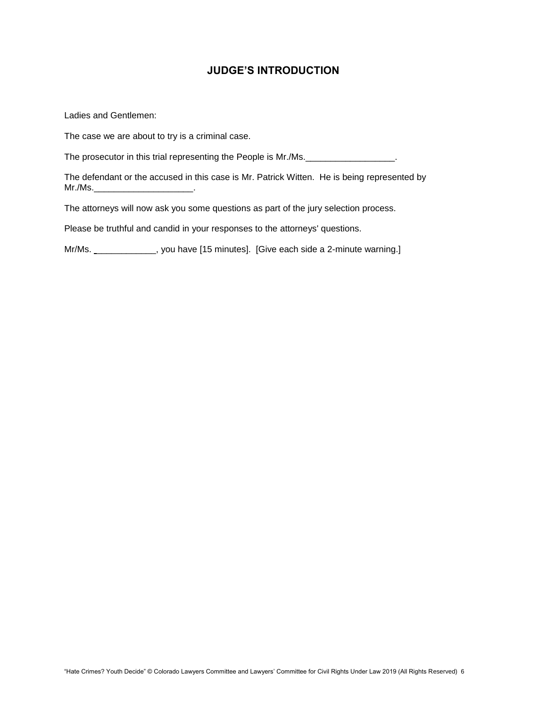# **JUDGE'S INTRODUCTION**

Ladies and Gentlemen:

The case we are about to try is a criminal case.

The prosecutor in this trial representing the People is Mr./Ms.

The defendant or the accused in this case is Mr. Patrick Witten. He is being represented by Mr./Ms.\_\_\_\_\_\_\_\_\_\_\_\_\_\_\_\_\_\_\_\_\_\_\_\_\_\_.

The attorneys will now ask you some questions as part of the jury selection process.

Please be truthful and candid in your responses to the attorneys' questions.

Mr/Ms. \_\_\_\_\_\_\_\_\_\_\_\_, you have [15 minutes]. [Give each side a 2-minute warning.]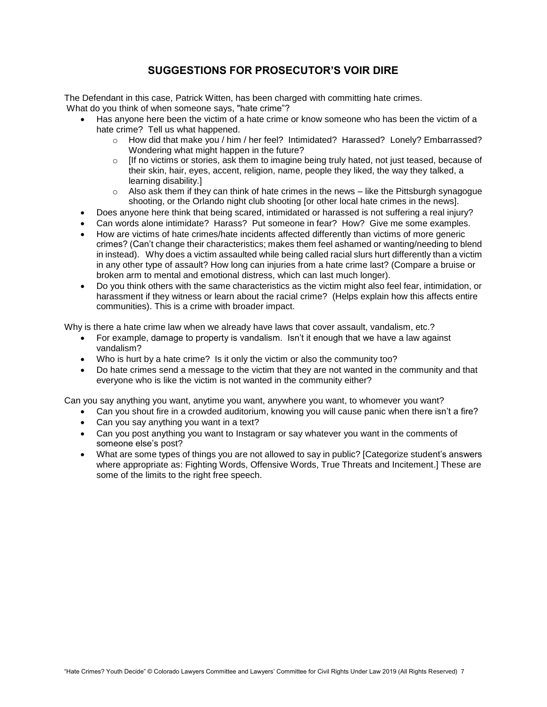# **SUGGESTIONS FOR PROSECUTOR'S VOIR DIRE**

The Defendant in this case, Patrick Witten, has been charged with committing hate crimes. What do you think of when someone says, "hate crime"?

- Has anyone here been the victim of a hate crime or know someone who has been the victim of a hate crime? Tell us what happened.
	- o How did that make you / him / her feel? Intimidated? Harassed? Lonely? Embarrassed? Wondering what might happen in the future?
	- $\circ$  [If no victims or stories, ask them to imagine being truly hated, not just teased, because of their skin, hair, eyes, accent, religion, name, people they liked, the way they talked, a learning disability.]
	- $\circ$  Also ask them if they can think of hate crimes in the news like the Pittsburgh synagogue shooting, or the Orlando night club shooting [or other local hate crimes in the news].
- Does anyone here think that being scared, intimidated or harassed is not suffering a real injury?
- Can words alone intimidate? Harass? Put someone in fear? How? Give me some examples.
- How are victims of hate crimes/hate incidents affected differently than victims of more generic crimes? (Can't change their characteristics; makes them feel ashamed or wanting/needing to blend in instead). Why does a victim assaulted while being called racial slurs hurt differently than a victim in any other type of assault? How long can injuries from a hate crime last? (Compare a bruise or broken arm to mental and emotional distress, which can last much longer).
- Do you think others with the same characteristics as the victim might also feel fear, intimidation, or harassment if they witness or learn about the racial crime? (Helps explain how this affects entire communities). This is a crime with broader impact.

Why is there a hate crime law when we already have laws that cover assault, vandalism, etc.?

- For example, damage to property is vandalism. Isn't it enough that we have a law against vandalism?
- Who is hurt by a hate crime? Is it only the victim or also the community too?
- Do hate crimes send a message to the victim that they are not wanted in the community and that everyone who is like the victim is not wanted in the community either?

Can you say anything you want, anytime you want, anywhere you want, to whomever you want?

- Can you shout fire in a crowded auditorium, knowing you will cause panic when there isn't a fire?
- Can you say anything you want in a text?
- Can you post anything you want to Instagram or say whatever you want in the comments of someone else's post?
- What are some types of things you are not allowed to say in public? [Categorize student's answers where appropriate as: Fighting Words, Offensive Words, True Threats and Incitement.] These are some of the limits to the right free speech.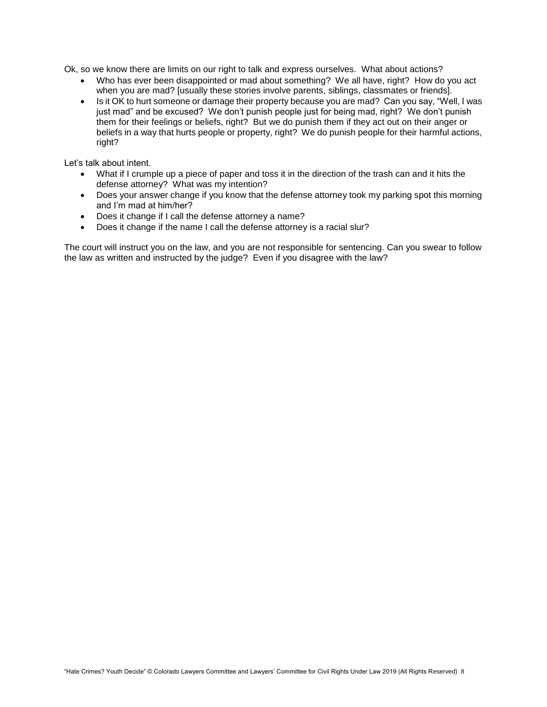Ok, so we know there are limits on our right to talk and express ourselves. What about actions?

- Who has ever been disappointed or mad about something? We all have, right? How do you act when you are mad? [usually these stories involve parents, siblings, classmates or friends].
- Is it OK to hurt someone or damage their property because you are mad? Can you say, "Well, I was just mad" and be excused? We don't punish people just for being mad, right? We don't punish them for their feelings or beliefs, right? But we do punish them if they act out on their anger or beliefs in a way that hurts people or property, right? We do punish people for their harmful actions, right?

Let's talk about intent.

- What if I crumple up a piece of paper and toss it in the direction of the trash can and it hits the defense attorney? What was my intention?
- Does your answer change if you know that the defense attorney took my parking spot this morning and I'm mad at him/her?
- Does it change if I call the defense attorney a name?
- Does it change if the name I call the defense attorney is a racial slur?

The court will instruct you on the law, and you are not responsible for sentencing. Can you swear to follow the law as written and instructed by the judge? Even if you disagree with the law?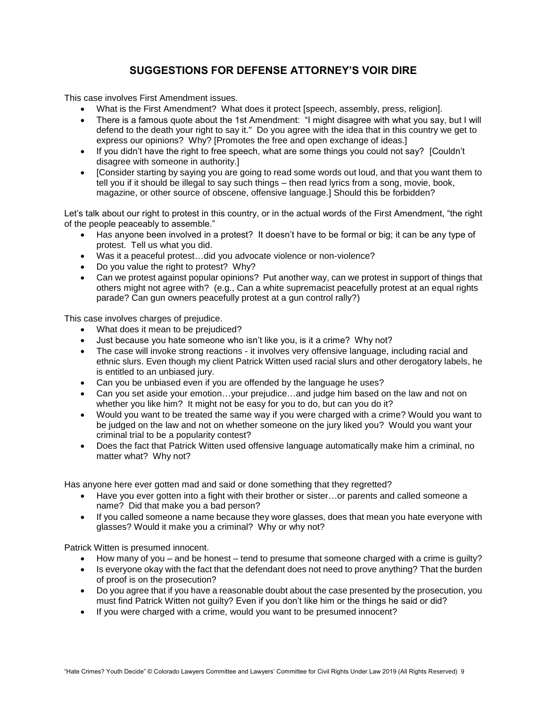# **SUGGESTIONS FOR DEFENSE ATTORNEY'S VOIR DIRE**

This case involves First Amendment issues.

- What is the First Amendment? What does it protect [speech, assembly, press, religion].
- There is a famous quote about the 1st Amendment: "I might disagree with what you say, but I will defend to the death your right to say it." Do you agree with the idea that in this country we get to express our opinions? Why? [Promotes the free and open exchange of ideas.]
- If you didn't have the right to free speech, what are some things you could not say? [Couldn't disagree with someone in authority.]
- [Consider starting by saying you are going to read some words out loud, and that you want them to tell you if it should be illegal to say such things – then read lyrics from a song, movie, book, magazine, or other source of obscene, offensive language.] Should this be forbidden?

Let's talk about our right to protest in this country, or in the actual words of the First Amendment, "the right of the people peaceably to assemble."

- Has anyone been involved in a protest? It doesn't have to be formal or big; it can be any type of protest. Tell us what you did.
- Was it a peaceful protest…did you advocate violence or non-violence?
- Do you value the right to protest? Why?
- Can we protest against popular opinions? Put another way, can we protest in support of things that others might not agree with? (e.g., Can a white supremacist peacefully protest at an equal rights parade? Can gun owners peacefully protest at a gun control rally?)

This case involves charges of prejudice.

- What does it mean to be prejudiced?
- Just because you hate someone who isn't like you, is it a crime? Why not?
- The case will invoke strong reactions it involves very offensive language, including racial and ethnic slurs. Even though my client Patrick Witten used racial slurs and other derogatory labels, he is entitled to an unbiased jury.
- Can you be unbiased even if you are offended by the language he uses?
- Can you set aside your emotion…your prejudice…and judge him based on the law and not on whether you like him? It might not be easy for you to do, but can you do it?
- Would you want to be treated the same way if you were charged with a crime? Would you want to be judged on the law and not on whether someone on the jury liked you? Would you want your criminal trial to be a popularity contest?
- Does the fact that Patrick Witten used offensive language automatically make him a criminal, no matter what? Why not?

Has anyone here ever gotten mad and said or done something that they regretted?

- Have you ever gotten into a fight with their brother or sister…or parents and called someone a name? Did that make you a bad person?
- If you called someone a name because they wore glasses, does that mean you hate everyone with glasses? Would it make you a criminal? Why or why not?

Patrick Witten is presumed innocent.

- How many of you and be honest tend to presume that someone charged with a crime is guilty?
- Is everyone okay with the fact that the defendant does not need to prove anything? That the burden of proof is on the prosecution?
- Do you agree that if you have a reasonable doubt about the case presented by the prosecution, you must find Patrick Witten not guilty? Even if you don't like him or the things he said or did?
- If you were charged with a crime, would you want to be presumed innocent?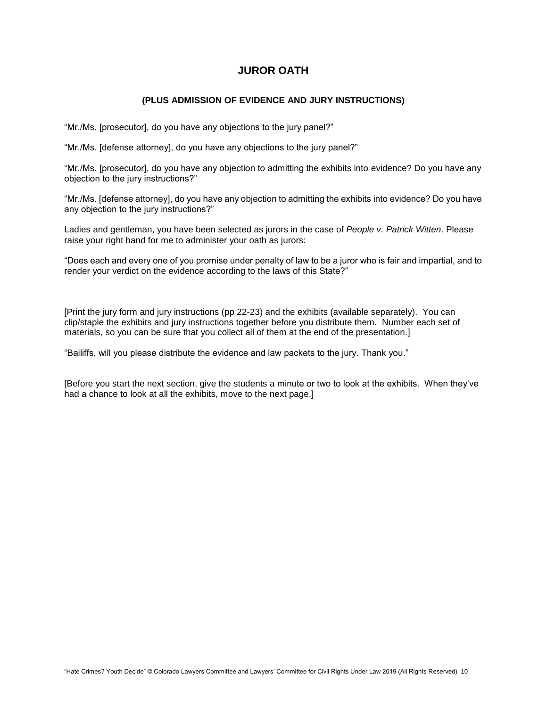### **JUROR OATH**

#### **(PLUS ADMISSION OF EVIDENCE AND JURY INSTRUCTIONS)**

"Mr./Ms. [prosecutor], do you have any objections to the jury panel?"

"Mr./Ms. [defense attorney], do you have any objections to the jury panel?"

"Mr./Ms. [prosecutor], do you have any objection to admitting the exhibits into evidence? Do you have any objection to the jury instructions?"

"Mr./Ms. [defense attorney], do you have any objection to admitting the exhibits into evidence? Do you have any objection to the jury instructions?"

Ladies and gentleman, you have been selected as jurors in the case of *People v. Patrick Witten*. Please raise your right hand for me to administer your oath as jurors:

"Does each and every one of you promise under penalty of law to be a juror who is fair and impartial, and to render your verdict on the evidence according to the laws of this State?"

[Print the jury form and jury instructions (pp 22-23) and the exhibits (available separately). You can clip/staple the exhibits and jury instructions together before you distribute them. Number each set of materials, so you can be sure that you collect all of them at the end of the presentation.]

"Bailiffs, will you please distribute the evidence and law packets to the jury. Thank you."

[Before you start the next section, give the students a minute or two to look at the exhibits. When they've had a chance to look at all the exhibits, move to the next page.]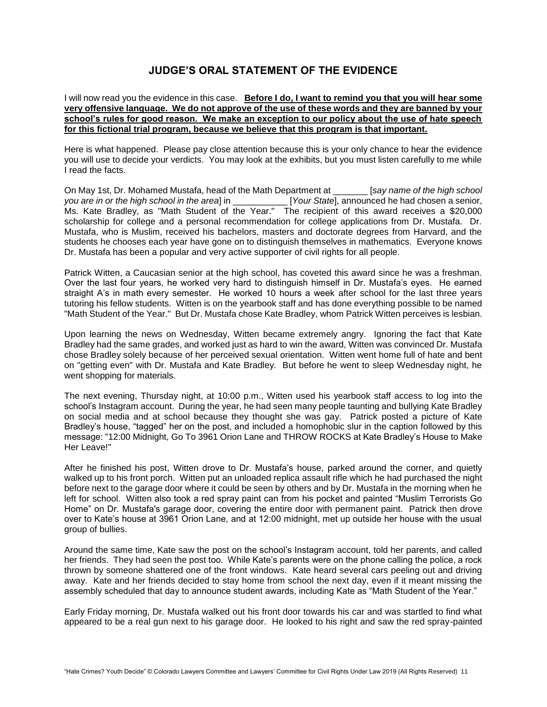### **JUDGE'S ORAL STATEMENT OF THE EVIDENCE**

#### I will now read you the evidence in this case. **Before I do, I want to remind you that you will hear some very offensive language. We do not approve of the use of these words and they are banned by your school's rules for good reason. We make an exception to our policy about the use of hate speech for this fictional trial program, because we believe that this program is that important.**

Here is what happened. Please pay close attention because this is your only chance to hear the evidence you will use to decide your verdicts. You may look at the exhibits, but you must listen carefully to me while I read the facts.

On May 1st, Dr. Mohamed Mustafa, head of the Math Department at \_\_\_\_\_\_\_ [*say name of the high school you are in or the high school in the area*] in \_\_\_\_\_\_\_\_\_\_\_ [*Your State*], announced he had chosen a senior, Ms. Kate Bradley, as "Math Student of the Year." The recipient of this award receives a \$20,000 scholarship for college and a personal recommendation for college applications from Dr. Mustafa. Dr. Mustafa, who is Muslim, received his bachelors, masters and doctorate degrees from Harvard, and the students he chooses each year have gone on to distinguish themselves in mathematics. Everyone knows Dr. Mustafa has been a popular and very active supporter of civil rights for all people.

Patrick Witten, a Caucasian senior at the high school, has coveted this award since he was a freshman. Over the last four years, he worked very hard to distinguish himself in Dr. Mustafa's eyes. He earned straight A's in math every semester. He worked 10 hours a week after school for the last three years tutoring his fellow students. Witten is on the yearbook staff and has done everything possible to be named "Math Student of the Year." But Dr. Mustafa chose Kate Bradley, whom Patrick Witten perceives is lesbian.

Upon learning the news on Wednesday, Witten became extremely angry. Ignoring the fact that Kate Bradley had the same grades, and worked just as hard to win the award, Witten was convinced Dr. Mustafa chose Bradley solely because of her perceived sexual orientation. Witten went home full of hate and bent on "getting even" with Dr. Mustafa and Kate Bradley. But before he went to sleep Wednesday night, he went shopping for materials.

The next evening, Thursday night, at 10:00 p.m., Witten used his yearbook staff access to log into the school's Instagram account. During the year, he had seen many people taunting and bullying Kate Bradley on social media and at school because they thought she was gay. Patrick posted a picture of Kate Bradley's house, "tagged" her on the post, and included a homophobic slur in the caption followed by this message: "12:00 Midnight, Go To 3961 Orion Lane and THROW ROCKS at Kate Bradley's House to Make Her Leave!"

After he finished his post, Witten drove to Dr. Mustafa's house, parked around the corner, and quietly walked up to his front porch. Witten put an unloaded replica assault rifle which he had purchased the night before next to the garage door where it could be seen by others and by Dr. Mustafa in the morning when he left for school. Witten also took a red spray paint can from his pocket and painted "Muslim Terrorists Go Home" on Dr. Mustafa's garage door, covering the entire door with permanent paint. Patrick then drove over to Kate's house at 3961 Orion Lane, and at 12:00 midnight, met up outside her house with the usual group of bullies.

Around the same time, Kate saw the post on the school's Instagram account, told her parents, and called her friends. They had seen the post too. While Kate's parents were on the phone calling the police, a rock thrown by someone shattered one of the front windows. Kate heard several cars peeling out and driving away. Kate and her friends decided to stay home from school the next day, even if it meant missing the assembly scheduled that day to announce student awards, including Kate as "Math Student of the Year."

Early Friday morning, Dr. Mustafa walked out his front door towards his car and was startled to find what appeared to be a real gun next to his garage door. He looked to his right and saw the red spray-painted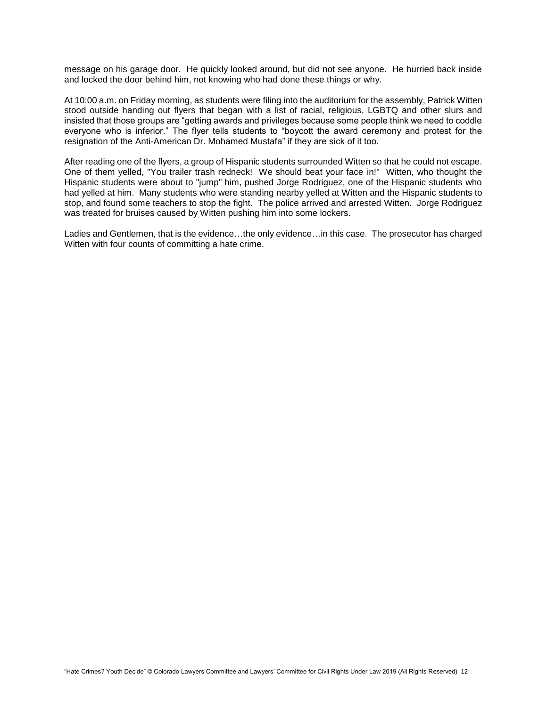message on his garage door. He quickly looked around, but did not see anyone. He hurried back inside and locked the door behind him, not knowing who had done these things or why.

At 10:00 a.m. on Friday morning, as students were filing into the auditorium for the assembly, Patrick Witten stood outside handing out flyers that began with a list of racial, religious, LGBTQ and other slurs and insisted that those groups are "getting awards and privileges because some people think we need to coddle everyone who is inferior." The flyer tells students to "boycott the award ceremony and protest for the resignation of the Anti-American Dr. Mohamed Mustafa" if they are sick of it too.

After reading one of the flyers, a group of Hispanic students surrounded Witten so that he could not escape. One of them yelled, "You trailer trash redneck! We should beat your face in!" Witten, who thought the Hispanic students were about to "jump" him, pushed Jorge Rodriguez, one of the Hispanic students who had yelled at him. Many students who were standing nearby yelled at Witten and the Hispanic students to stop, and found some teachers to stop the fight. The police arrived and arrested Witten. Jorge Rodriguez was treated for bruises caused by Witten pushing him into some lockers.

Ladies and Gentlemen, that is the evidence…the only evidence…in this case. The prosecutor has charged Witten with four counts of committing a hate crime.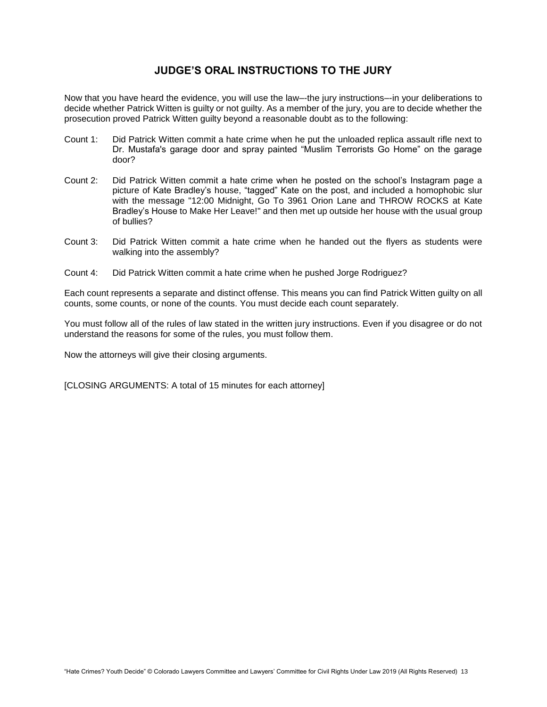### **JUDGE'S ORAL INSTRUCTIONS TO THE JURY**

Now that you have heard the evidence, you will use the law–-the jury instructions–-in your deliberations to decide whether Patrick Witten is guilty or not guilty. As a member of the jury, you are to decide whether the prosecution proved Patrick Witten guilty beyond a reasonable doubt as to the following:

- Count 1: Did Patrick Witten commit a hate crime when he put the unloaded replica assault rifle next to Dr. Mustafa's garage door and spray painted "Muslim Terrorists Go Home" on the garage door?
- Count 2: Did Patrick Witten commit a hate crime when he posted on the school's Instagram page a picture of Kate Bradley's house, "tagged" Kate on the post, and included a homophobic slur with the message "12:00 Midnight, Go To 3961 Orion Lane and THROW ROCKS at Kate Bradley's House to Make Her Leave!" and then met up outside her house with the usual group of bullies?
- Count 3: Did Patrick Witten commit a hate crime when he handed out the flyers as students were walking into the assembly?
- Count 4: Did Patrick Witten commit a hate crime when he pushed Jorge Rodriguez?

Each count represents a separate and distinct offense. This means you can find Patrick Witten guilty on all counts, some counts, or none of the counts. You must decide each count separately.

You must follow all of the rules of law stated in the written jury instructions. Even if you disagree or do not understand the reasons for some of the rules, you must follow them.

Now the attorneys will give their closing arguments.

[CLOSING ARGUMENTS: A total of 15 minutes for each attorney]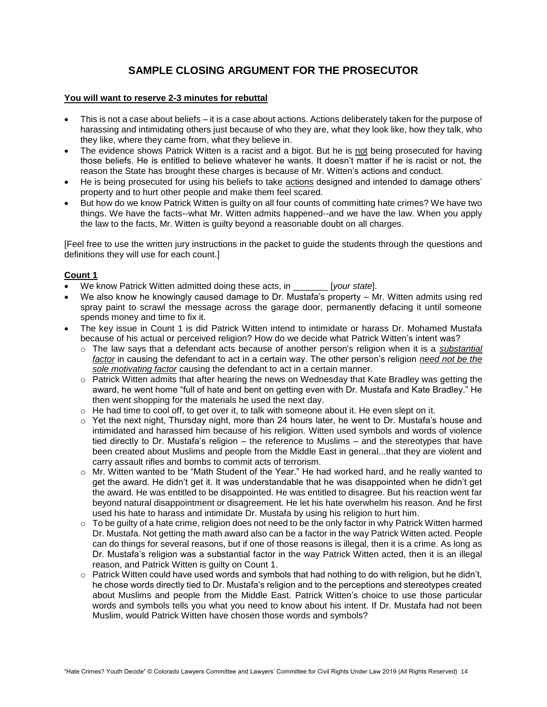# **SAMPLE CLOSING ARGUMENT FOR THE PROSECUTOR**

#### **You will want to reserve 2-3 minutes for rebuttal**

- This is not a case about beliefs it is a case about actions. Actions deliberately taken for the purpose of harassing and intimidating others just because of who they are, what they look like, how they talk, who they like, where they came from, what they believe in.
- The evidence shows Patrick Witten is a racist and a bigot. But he is not being prosecuted for having those beliefs. He is entitled to believe whatever he wants. It doesn't matter if he is racist or not, the reason the State has brought these charges is because of Mr. Witten's actions and conduct.
- He is being prosecuted for using his beliefs to take actions designed and intended to damage others' property and to hurt other people and make them feel scared.
- But how do we know Patrick Witten is guilty on all four counts of committing hate crimes? We have two things. We have the facts--what Mr. Witten admits happened--and we have the law. When you apply the law to the facts, Mr. Witten is guilty beyond a reasonable doubt on all charges.

[Feel free to use the written jury instructions in the packet to guide the students through the questions and definitions they will use for each count.]

#### **Count 1**

- We know Patrick Witten admitted doing these acts, in \_\_\_\_\_\_\_ [*your state*].
- We also know he knowingly caused damage to Dr. Mustafa's property Mr. Witten admits using red spray paint to scrawl the message across the garage door, permanently defacing it until someone spends money and time to fix it.
- The key issue in Count 1 is did Patrick Witten intend to intimidate or harass Dr. Mohamed Mustafa because of his actual or perceived religion? How do we decide what Patrick Witten's intent was?
	- o The law says that a defendant acts because of another person's religion when it is a *substantial factor* in causing the defendant to act in a certain way. The other person's religion *need not be the sole motivating factor* causing the defendant to act in a certain manner.
	- $\circ$  Patrick Witten admits that after hearing the news on Wednesday that Kate Bradley was getting the award, he went home "full of hate and bent on getting even with Dr. Mustafa and Kate Bradley." He then went shopping for the materials he used the next day.
	- $\circ$  He had time to cool off, to get over it, to talk with someone about it. He even slept on it.
	- $\circ$  Yet the next night, Thursday night, more than 24 hours later, he went to Dr. Mustafa's house and intimidated and harassed him because of his religion. Witten used symbols and words of violence tied directly to Dr. Mustafa's religion – the reference to Muslims – and the stereotypes that have been created about Muslims and people from the Middle East in general...that they are violent and carry assault rifles and bombs to commit acts of terrorism.
	- o Mr. Witten wanted to be "Math Student of the Year." He had worked hard, and he really wanted to get the award. He didn't get it. It was understandable that he was disappointed when he didn't get the award. He was entitled to be disappointed. He was entitled to disagree. But his reaction went far beyond natural disappointment or disagreement. He let his hate overwhelm his reason. And he first used his hate to harass and intimidate Dr. Mustafa by using his religion to hurt him.
	- $\circ$  To be guilty of a hate crime, religion does not need to be the only factor in why Patrick Witten harmed Dr. Mustafa. Not getting the math award also can be a factor in the way Patrick Witten acted. People can do things for several reasons, but if one of those reasons is illegal, then it is a crime. As long as Dr. Mustafa's religion was a substantial factor in the way Patrick Witten acted, then it is an illegal reason, and Patrick Witten is guilty on Count 1.
	- $\circ$  Patrick Witten could have used words and symbols that had nothing to do with religion, but he didn't, he chose words directly tied to Dr. Mustafa's religion and to the perceptions and stereotypes created about Muslims and people from the Middle East. Patrick Witten's choice to use those particular words and symbols tells you what you need to know about his intent. If Dr. Mustafa had not been Muslim, would Patrick Witten have chosen those words and symbols?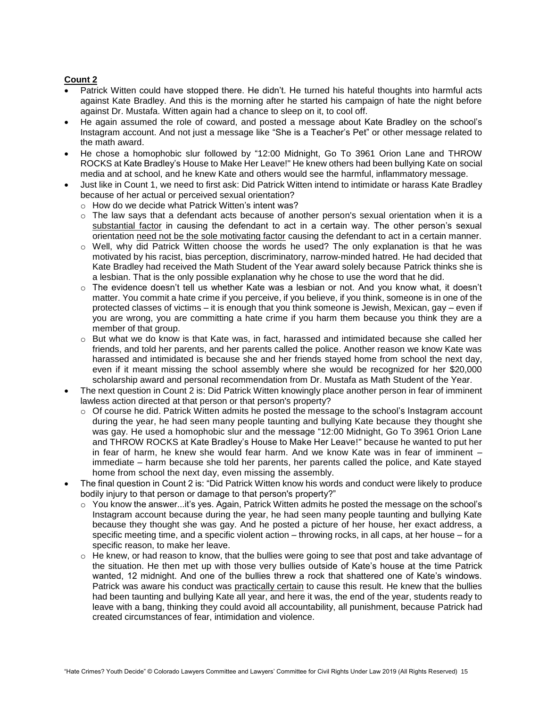#### **Count 2**

- Patrick Witten could have stopped there. He didn't. He turned his hateful thoughts into harmful acts against Kate Bradley. And this is the morning after he started his campaign of hate the night before against Dr. Mustafa. Witten again had a chance to sleep on it, to cool off.
- He again assumed the role of coward, and posted a message about Kate Bradley on the school's Instagram account. And not just a message like "She is a Teacher's Pet" or other message related to the math award.
- He chose a homophobic slur followed by "12:00 Midnight, Go To 3961 Orion Lane and THROW ROCKS at Kate Bradley's House to Make Her Leave!" He knew others had been bullying Kate on social media and at school, and he knew Kate and others would see the harmful, inflammatory message.
- Just like in Count 1, we need to first ask: Did Patrick Witten intend to intimidate or harass Kate Bradley because of her actual or perceived sexual orientation?
	- o How do we decide what Patrick Witten's intent was?
	- $\circ$  The law says that a defendant acts because of another person's sexual orientation when it is a substantial factor in causing the defendant to act in a certain way. The other person's sexual orientation need not be the sole motivating factor causing the defendant to act in a certain manner.
	- o Well, why did Patrick Witten choose the words he used? The only explanation is that he was motivated by his racist, bias perception, discriminatory, narrow-minded hatred. He had decided that Kate Bradley had received the Math Student of the Year award solely because Patrick thinks she is a lesbian. That is the only possible explanation why he chose to use the word that he did.
	- o The evidence doesn't tell us whether Kate was a lesbian or not. And you know what, it doesn't matter. You commit a hate crime if you perceive, if you believe, if you think, someone is in one of the protected classes of victims – it is enough that you think someone is Jewish, Mexican, gay – even if you are wrong, you are committing a hate crime if you harm them because you think they are a member of that group.
	- o But what we do know is that Kate was, in fact, harassed and intimidated because she called her friends, and told her parents, and her parents called the police. Another reason we know Kate was harassed and intimidated is because she and her friends stayed home from school the next day, even if it meant missing the school assembly where she would be recognized for her \$20,000 scholarship award and personal recommendation from Dr. Mustafa as Math Student of the Year.
- The next question in Count 2 is: Did Patrick Witten knowingly place another person in fear of imminent lawless action directed at that person or that person's property?
	- $\circ$  Of course he did. Patrick Witten admits he posted the message to the school's Instagram account during the year, he had seen many people taunting and bullying Kate because they thought she was gay. He used a homophobic slur and the message "12:00 Midnight, Go To 3961 Orion Lane and THROW ROCKS at Kate Bradley's House to Make Her Leave!" because he wanted to put her in fear of harm, he knew she would fear harm. And we know Kate was in fear of imminent – immediate – harm because she told her parents, her parents called the police, and Kate stayed home from school the next day, even missing the assembly.
- The final question in Count 2 is: "Did Patrick Witten know his words and conduct were likely to produce bodily injury to that person or damage to that person's property?"
	- o You know the answer...it's yes. Again, Patrick Witten admits he posted the message on the school's Instagram account because during the year, he had seen many people taunting and bullying Kate because they thought she was gay. And he posted a picture of her house, her exact address, a specific meeting time, and a specific violent action – throwing rocks, in all caps, at her house – for a specific reason, to make her leave.
	- $\circ$  He knew, or had reason to know, that the bullies were going to see that post and take advantage of the situation. He then met up with those very bullies outside of Kate's house at the time Patrick wanted, 12 midnight. And one of the bullies threw a rock that shattered one of Kate's windows. Patrick was aware his conduct was practically certain to cause this result. He knew that the bullies had been taunting and bullying Kate all year, and here it was, the end of the year, students ready to leave with a bang, thinking they could avoid all accountability, all punishment, because Patrick had created circumstances of fear, intimidation and violence.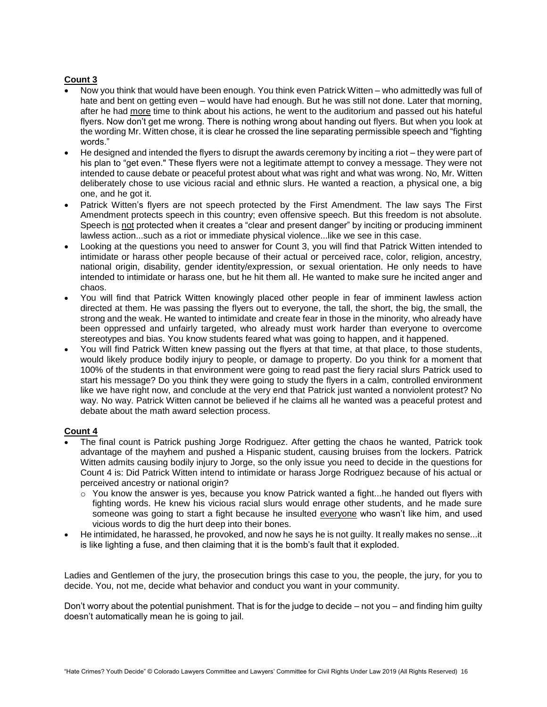#### **Count 3**

- Now you think that would have been enough. You think even Patrick Witten who admittedly was full of hate and bent on getting even – would have had enough. But he was still not done. Later that morning, after he had more time to think about his actions, he went to the auditorium and passed out his hateful flyers. Now don't get me wrong. There is nothing wrong about handing out flyers. But when you look at the wording Mr. Witten chose, it is clear he crossed the line separating permissible speech and "fighting words."
- He designed and intended the flyers to disrupt the awards ceremony by inciting a riot they were part of his plan to "get even." These flyers were not a legitimate attempt to convey a message. They were not intended to cause debate or peaceful protest about what was right and what was wrong. No, Mr. Witten deliberately chose to use vicious racial and ethnic slurs. He wanted a reaction, a physical one, a big one, and he got it.
- Patrick Witten's flyers are not speech protected by the First Amendment. The law says The First Amendment protects speech in this country; even offensive speech. But this freedom is not absolute. Speech is not protected when it creates a "clear and present danger" by inciting or producing imminent lawless action...such as a riot or immediate physical violence...like we see in this case.
- Looking at the questions you need to answer for Count 3, you will find that Patrick Witten intended to intimidate or harass other people because of their actual or perceived race, color, religion, ancestry, national origin, disability, gender identity/expression, or sexual orientation. He only needs to have intended to intimidate or harass one, but he hit them all. He wanted to make sure he incited anger and chaos.
- You will find that Patrick Witten knowingly placed other people in fear of imminent lawless action directed at them. He was passing the flyers out to everyone, the tall, the short, the big, the small, the strong and the weak. He wanted to intimidate and create fear in those in the minority, who already have been oppressed and unfairly targeted, who already must work harder than everyone to overcome stereotypes and bias. You know students feared what was going to happen, and it happened.
- You will find Patrick Witten knew passing out the flyers at that time, at that place, to those students, would likely produce bodily injury to people, or damage to property. Do you think for a moment that 100% of the students in that environment were going to read past the fiery racial slurs Patrick used to start his message? Do you think they were going to study the flyers in a calm, controlled environment like we have right now, and conclude at the very end that Patrick just wanted a nonviolent protest? No way. No way. Patrick Witten cannot be believed if he claims all he wanted was a peaceful protest and debate about the math award selection process.

#### **Count 4**

- The final count is Patrick pushing Jorge Rodriguez. After getting the chaos he wanted, Patrick took advantage of the mayhem and pushed a Hispanic student, causing bruises from the lockers. Patrick Witten admits causing bodily injury to Jorge, so the only issue you need to decide in the questions for Count 4 is: Did Patrick Witten intend to intimidate or harass Jorge Rodriguez because of his actual or perceived ancestry or national origin?
	- $\circ$  You know the answer is yes, because you know Patrick wanted a fight...he handed out flyers with fighting words. He knew his vicious racial slurs would enrage other students, and he made sure someone was going to start a fight because he insulted everyone who wasn't like him, and used vicious words to dig the hurt deep into their bones.
- He intimidated, he harassed, he provoked, and now he says he is not guilty. It really makes no sense...it is like lighting a fuse, and then claiming that it is the bomb's fault that it exploded.

Ladies and Gentlemen of the jury, the prosecution brings this case to you, the people, the jury, for you to decide. You, not me, decide what behavior and conduct you want in your community.

Don't worry about the potential punishment. That is for the judge to decide – not you – and finding him guilty doesn't automatically mean he is going to jail.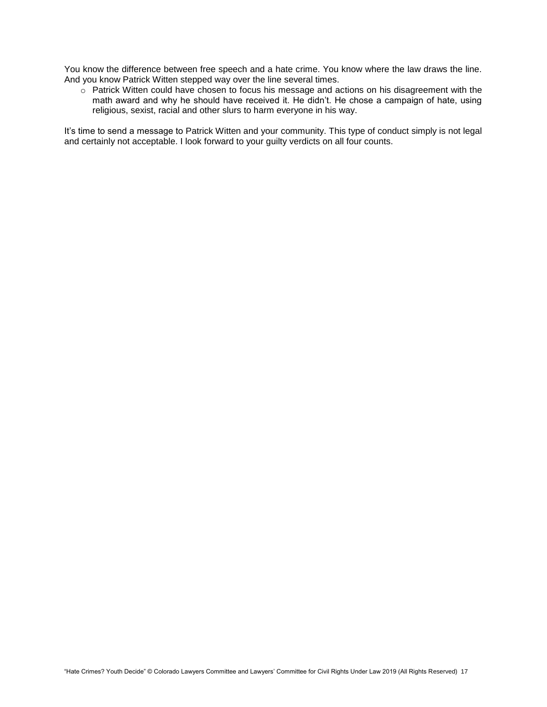You know the difference between free speech and a hate crime. You know where the law draws the line. And you know Patrick Witten stepped way over the line several times.

 $\circ$  Patrick Witten could have chosen to focus his message and actions on his disagreement with the math award and why he should have received it. He didn't. He chose a campaign of hate, using religious, sexist, racial and other slurs to harm everyone in his way.

It's time to send a message to Patrick Witten and your community. This type of conduct simply is not legal and certainly not acceptable. I look forward to your guilty verdicts on all four counts.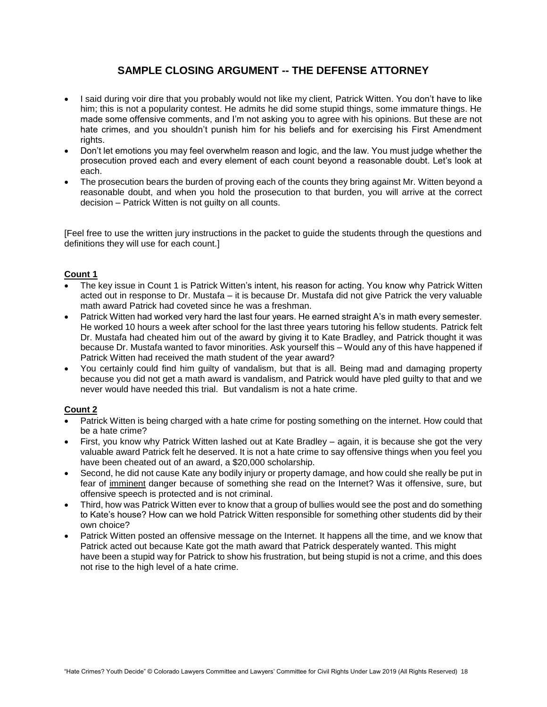# **SAMPLE CLOSING ARGUMENT -- THE DEFENSE ATTORNEY**

- I said during voir dire that you probably would not like my client, Patrick Witten. You don't have to like him; this is not a popularity contest. He admits he did some stupid things, some immature things. He made some offensive comments, and I'm not asking you to agree with his opinions. But these are not hate crimes, and you shouldn't punish him for his beliefs and for exercising his First Amendment rights.
- Don't let emotions you may feel overwhelm reason and logic, and the law. You must judge whether the prosecution proved each and every element of each count beyond a reasonable doubt. Let's look at each.
- The prosecution bears the burden of proving each of the counts they bring against Mr. Witten beyond a reasonable doubt, and when you hold the prosecution to that burden, you will arrive at the correct decision – Patrick Witten is not guilty on all counts.

[Feel free to use the written jury instructions in the packet to guide the students through the questions and definitions they will use for each count.]

#### **Count 1**

- The key issue in Count 1 is Patrick Witten's intent, his reason for acting. You know why Patrick Witten acted out in response to Dr. Mustafa – it is because Dr. Mustafa did not give Patrick the very valuable math award Patrick had coveted since he was a freshman.
- Patrick Witten had worked very hard the last four years. He earned straight A's in math every semester. He worked 10 hours a week after school for the last three years tutoring his fellow students. Patrick felt Dr. Mustafa had cheated him out of the award by giving it to Kate Bradley, and Patrick thought it was because Dr. Mustafa wanted to favor minorities. Ask yourself this – Would any of this have happened if Patrick Witten had received the math student of the year award?
- You certainly could find him guilty of vandalism, but that is all. Being mad and damaging property because you did not get a math award is vandalism, and Patrick would have pled guilty to that and we never would have needed this trial. But vandalism is not a hate crime.

#### **Count 2**

- Patrick Witten is being charged with a hate crime for posting something on the internet. How could that be a hate crime?
- First, you know why Patrick Witten lashed out at Kate Bradley again, it is because she got the very valuable award Patrick felt he deserved. It is not a hate crime to say offensive things when you feel you have been cheated out of an award, a \$20,000 scholarship.
- Second, he did not cause Kate any bodily injury or property damage, and how could she really be put in fear of imminent danger because of something she read on the Internet? Was it offensive, sure, but offensive speech is protected and is not criminal.
- Third, how was Patrick Witten ever to know that a group of bullies would see the post and do something to Kate's house? How can we hold Patrick Witten responsible for something other students did by their own choice?
- Patrick Witten posted an offensive message on the Internet. It happens all the time, and we know that Patrick acted out because Kate got the math award that Patrick desperately wanted. This might have been a stupid way for Patrick to show his frustration, but being stupid is not a crime, and this does not rise to the high level of a hate crime.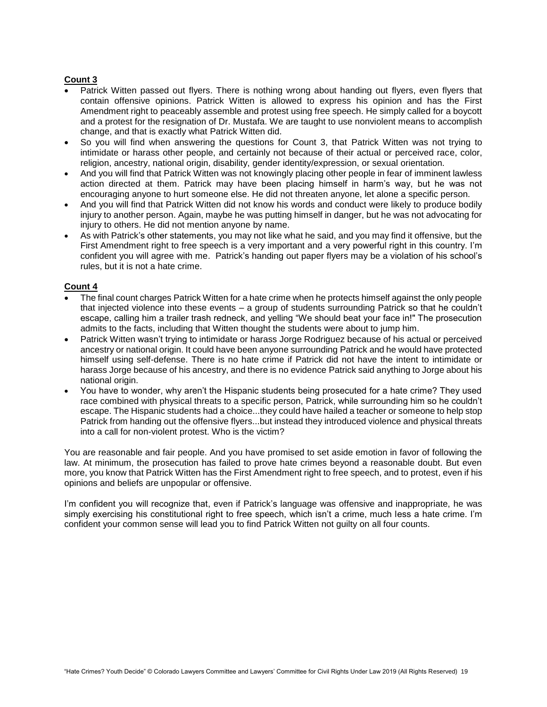#### **Count 3**

- Patrick Witten passed out flyers. There is nothing wrong about handing out flyers, even flyers that contain offensive opinions. Patrick Witten is allowed to express his opinion and has the First Amendment right to peaceably assemble and protest using free speech. He simply called for a boycott and a protest for the resignation of Dr. Mustafa. We are taught to use nonviolent means to accomplish change, and that is exactly what Patrick Witten did.
- So you will find when answering the questions for Count 3, that Patrick Witten was not trying to intimidate or harass other people, and certainly not because of their actual or perceived race, color, religion, ancestry, national origin, disability, gender identity/expression, or sexual orientation.
- And you will find that Patrick Witten was not knowingly placing other people in fear of imminent lawless action directed at them. Patrick may have been placing himself in harm's way, but he was not encouraging anyone to hurt someone else. He did not threaten anyone, let alone a specific person.
- And you will find that Patrick Witten did not know his words and conduct were likely to produce bodily injury to another person. Again, maybe he was putting himself in danger, but he was not advocating for injury to others. He did not mention anyone by name.
- As with Patrick's other statements, you may not like what he said, and you may find it offensive, but the First Amendment right to free speech is a very important and a very powerful right in this country. I'm confident you will agree with me. Patrick's handing out paper flyers may be a violation of his school's rules, but it is not a hate crime.

#### **Count 4**

- The final count charges Patrick Witten for a hate crime when he protects himself against the only people that injected violence into these events – a group of students surrounding Patrick so that he couldn't escape, calling him a trailer trash redneck, and yelling "We should beat your face in!" The prosecution admits to the facts, including that Witten thought the students were about to jump him.
- Patrick Witten wasn't trying to intimidate or harass Jorge Rodriguez because of his actual or perceived ancestry or national origin. It could have been anyone surrounding Patrick and he would have protected himself using self-defense. There is no hate crime if Patrick did not have the intent to intimidate or harass Jorge because of his ancestry, and there is no evidence Patrick said anything to Jorge about his national origin.
- You have to wonder, why aren't the Hispanic students being prosecuted for a hate crime? They used race combined with physical threats to a specific person, Patrick, while surrounding him so he couldn't escape. The Hispanic students had a choice...they could have hailed a teacher or someone to help stop Patrick from handing out the offensive flyers...but instead they introduced violence and physical threats into a call for non-violent protest. Who is the victim?

You are reasonable and fair people. And you have promised to set aside emotion in favor of following the law. At minimum, the prosecution has failed to prove hate crimes beyond a reasonable doubt. But even more, you know that Patrick Witten has the First Amendment right to free speech, and to protest, even if his opinions and beliefs are unpopular or offensive.

I'm confident you will recognize that, even if Patrick's language was offensive and inappropriate, he was simply exercising his constitutional right to free speech, which isn't a crime, much less a hate crime. I'm confident your common sense will lead you to find Patrick Witten not guilty on all four counts.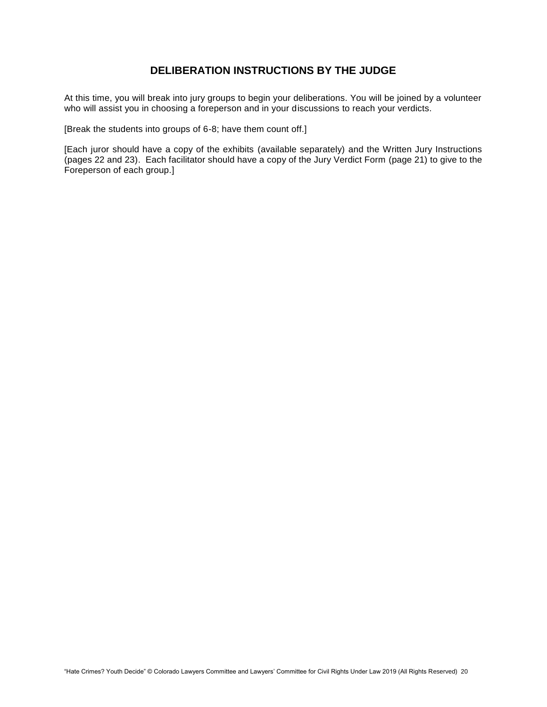# **DELIBERATION INSTRUCTIONS BY THE JUDGE**

At this time, you will break into jury groups to begin your deliberations. You will be joined by a volunteer who will assist you in choosing a foreperson and in your discussions to reach your verdicts.

[Break the students into groups of 6-8; have them count off.]

[Each juror should have a copy of the exhibits (available separately) and the Written Jury Instructions (pages 22 and 23). Each facilitator should have a copy of the Jury Verdict Form (page 21) to give to the Foreperson of each group.]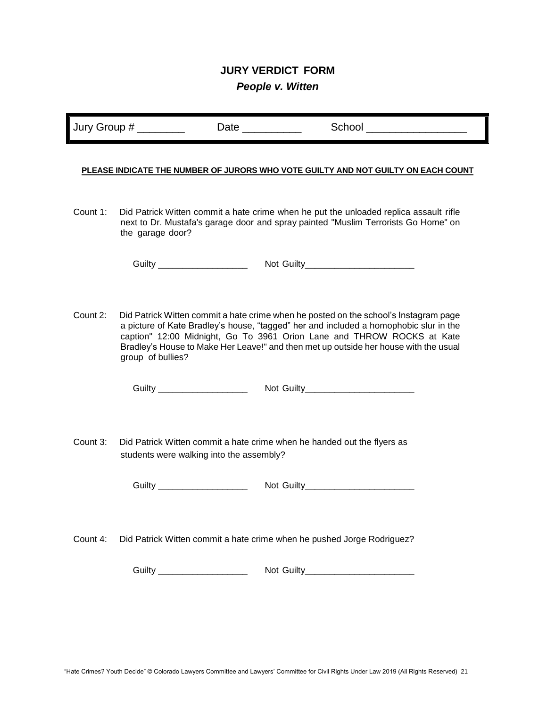# **JURY VERDICT FORM** *People v. Witten*

Jury Group # \_\_\_\_\_\_\_\_ Date \_\_\_\_\_\_\_\_\_\_ School \_\_\_\_\_\_\_\_\_\_\_\_\_\_\_\_\_

#### **PLEASE INDICATE THE NUMBER OF JURORS WHO VOTE GUILTY AND NOT GUILTY ON EACH COUNT**

Count 1: Did Patrick Witten commit a hate crime when he put the unloaded replica assault rifle next to Dr. Mustafa's garage door and spray painted "Muslim Terrorists Go Home" on the garage door?

| Guilty | <b>Not Guilty</b> |
|--------|-------------------|
|        |                   |

Count 2: Did Patrick Witten commit a hate crime when he posted on the school's Instagram page a picture of Kate Bradley's house, "tagged" her and included a homophobic slur in the caption" 12:00 Midnight, Go To 3961 Orion Lane and THROW ROCKS at Kate Bradley's House to Make Her Leave!" and then met up outside her house with the usual group of bullies?

Guilty \_\_\_\_\_\_\_\_\_\_\_\_\_\_\_\_\_\_ Not Guilty\_\_\_\_\_\_\_\_\_\_\_\_\_\_\_\_\_\_\_\_\_\_

Count 3: Did Patrick Witten commit a hate crime when he handed out the flyers as students were walking into the assembly?

Guilty \_\_\_\_\_\_\_\_\_\_\_\_\_\_\_\_\_\_ Not Guilty\_\_\_\_\_\_\_\_\_\_\_\_\_\_\_\_\_\_\_\_\_\_

Count 4: Did Patrick Witten commit a hate crime when he pushed Jorge Rodriguez?

Guilty \_\_\_\_\_\_\_\_\_\_\_\_\_\_\_\_\_\_ Not Guilty\_\_\_\_\_\_\_\_\_\_\_\_\_\_\_\_\_\_\_\_\_\_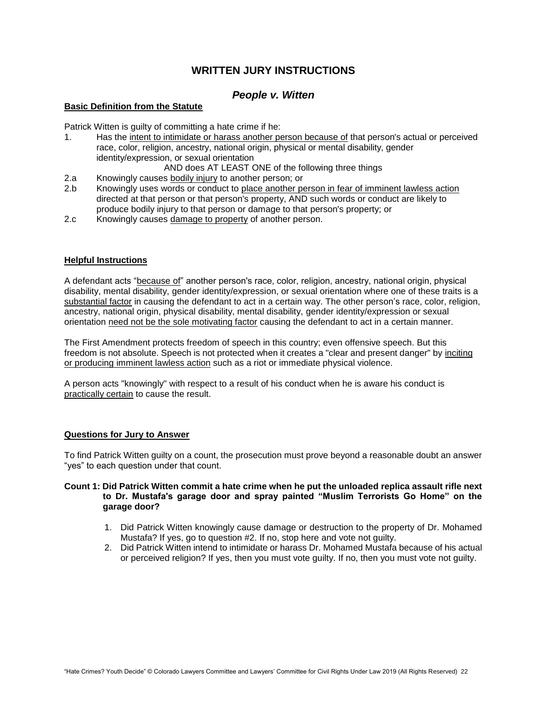# **WRITTEN JURY INSTRUCTIONS**

### *People v. Witten*

#### **Basic Definition from the Statute**

Patrick Witten is guilty of committing a hate crime if he:

1. Has the intent to intimidate or harass another person because of that person's actual or perceived race, color, religion, ancestry, national origin, physical or mental disability, gender identity/expression, or sexual orientation

AND does AT LEAST ONE of the following three things

- 2.a Knowingly causes bodily injury to another person; or
- 2.b Knowingly uses words or conduct to place another person in fear of imminent lawless action directed at that person or that person's property, AND such words or conduct are likely to produce bodily injury to that person or damage to that person's property; or
- 2.c Knowingly causes damage to property of another person.

#### **Helpful Instructions**

A defendant acts "because of" another person's race, color, religion, ancestry, national origin, physical disability, mental disability, gender identity/expression, or sexual orientation where one of these traits is a substantial factor in causing the defendant to act in a certain way. The other person's race, color, religion, ancestry, national origin, physical disability, mental disability, gender identity/expression or sexual orientation need not be the sole motivating factor causing the defendant to act in a certain manner.

The First Amendment protects freedom of speech in this country; even offensive speech. But this freedom is not absolute. Speech is not protected when it creates a "clear and present danger" by inciting or producing imminent lawless action such as a riot or immediate physical violence.

A person acts "knowingly" with respect to a result of his conduct when he is aware his conduct is practically certain to cause the result.

#### **Questions for Jury to Answer**

To find Patrick Witten guilty on a count, the prosecution must prove beyond a reasonable doubt an answer "yes" to each question under that count.

#### **Count 1: Did Patrick Witten commit a hate crime when he put the unloaded replica assault rifle next to Dr. Mustafa's garage door and spray painted "Muslim Terrorists Go Home" on the garage door?**

- 1. Did Patrick Witten knowingly cause damage or destruction to the property of Dr. Mohamed Mustafa? If yes, go to question #2. If no, stop here and vote not guilty.
- 2. Did Patrick Witten intend to intimidate or harass Dr. Mohamed Mustafa because of his actual or perceived religion? If yes, then you must vote guilty. If no, then you must vote not guilty.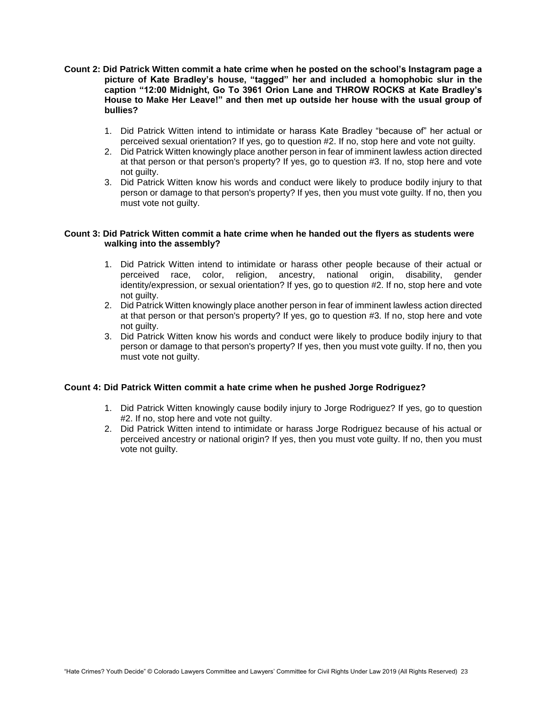- **Count 2: Did Patrick Witten commit a hate crime when he posted on the school's Instagram page a picture of Kate Bradley's house, "tagged" her and included a homophobic slur in the caption "12:00 Midnight, Go To 3961 Orion Lane and THROW ROCKS at Kate Bradley's House to Make Her Leave!" and then met up outside her house with the usual group of bullies?**
	- 1. Did Patrick Witten intend to intimidate or harass Kate Bradley "because of" her actual or perceived sexual orientation? If yes, go to question #2. If no, stop here and vote not guilty.
	- 2. Did Patrick Witten knowingly place another person in fear of imminent lawless action directed at that person or that person's property? If yes, go to question #3. If no, stop here and vote not guilty.
	- 3. Did Patrick Witten know his words and conduct were likely to produce bodily injury to that person or damage to that person's property? If yes, then you must vote guilty. If no, then you must vote not guilty.

#### **Count 3: Did Patrick Witten commit a hate crime when he handed out the flyers as students were walking into the assembly?**

- 1. Did Patrick Witten intend to intimidate or harass other people because of their actual or perceived race, color, religion, ancestry, national origin, disability, gender identity/expression, or sexual orientation? If yes, go to question #2. If no, stop here and vote not guilty.
- 2. Did Patrick Witten knowingly place another person in fear of imminent lawless action directed at that person or that person's property? If yes, go to question #3. If no, stop here and vote not guilty.
- 3. Did Patrick Witten know his words and conduct were likely to produce bodily injury to that person or damage to that person's property? If yes, then you must vote guilty. If no, then you must vote not guilty.

#### **Count 4: Did Patrick Witten commit a hate crime when he pushed Jorge Rodriguez?**

- 1. Did Patrick Witten knowingly cause bodily injury to Jorge Rodriguez? If yes, go to question #2. If no, stop here and vote not guilty.
- 2. Did Patrick Witten intend to intimidate or harass Jorge Rodriguez because of his actual or perceived ancestry or national origin? If yes, then you must vote guilty. If no, then you must vote not guilty.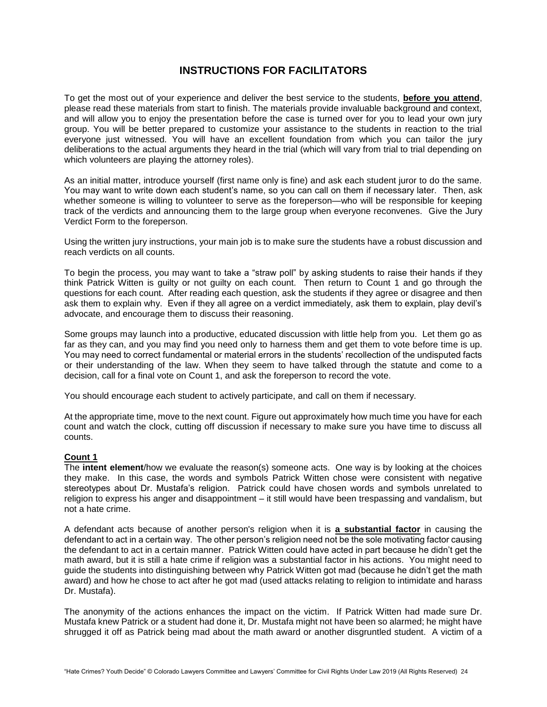### **INSTRUCTIONS FOR FACILITATORS**

To get the most out of your experience and deliver the best service to the students, **before you attend**, please read these materials from start to finish. The materials provide invaluable background and context, and will allow you to enjoy the presentation before the case is turned over for you to lead your own jury group. You will be better prepared to customize your assistance to the students in reaction to the trial everyone just witnessed. You will have an excellent foundation from which you can tailor the jury deliberations to the actual arguments they heard in the trial (which will vary from trial to trial depending on which volunteers are playing the attorney roles).

As an initial matter, introduce yourself (first name only is fine) and ask each student juror to do the same. You may want to write down each student's name, so you can call on them if necessary later. Then, ask whether someone is willing to volunteer to serve as the foreperson—who will be responsible for keeping track of the verdicts and announcing them to the large group when everyone reconvenes. Give the Jury Verdict Form to the foreperson.

Using the written jury instructions, your main job is to make sure the students have a robust discussion and reach verdicts on all counts.

To begin the process, you may want to take a "straw poll" by asking students to raise their hands if they think Patrick Witten is guilty or not guilty on each count. Then return to Count 1 and go through the questions for each count. After reading each question, ask the students if they agree or disagree and then ask them to explain why. Even if they all agree on a verdict immediately, ask them to explain, play devil's advocate, and encourage them to discuss their reasoning.

Some groups may launch into a productive, educated discussion with little help from you. Let them go as far as they can, and you may find you need only to harness them and get them to vote before time is up. You may need to correct fundamental or material errors in the students' recollection of the undisputed facts or their understanding of the law. When they seem to have talked through the statute and come to a decision, call for a final vote on Count 1, and ask the foreperson to record the vote.

You should encourage each student to actively participate, and call on them if necessary.

At the appropriate time, move to the next count. Figure out approximately how much time you have for each count and watch the clock, cutting off discussion if necessary to make sure you have time to discuss all counts.

#### **Count 1**

The **intent element**/how we evaluate the reason(s) someone acts. One way is by looking at the choices they make. In this case, the words and symbols Patrick Witten chose were consistent with negative stereotypes about Dr. Mustafa's religion. Patrick could have chosen words and symbols unrelated to religion to express his anger and disappointment – it still would have been trespassing and vandalism, but not a hate crime.

A defendant acts because of another person's religion when it is **a substantial factor** in causing the defendant to act in a certain way. The other person's religion need not be the sole motivating factor causing the defendant to act in a certain manner. Patrick Witten could have acted in part because he didn't get the math award, but it is still a hate crime if religion was a substantial factor in his actions. You might need to guide the students into distinguishing between why Patrick Witten got mad (because he didn't get the math award) and how he chose to act after he got mad (used attacks relating to religion to intimidate and harass Dr. Mustafa).

The anonymity of the actions enhances the impact on the victim. If Patrick Witten had made sure Dr. Mustafa knew Patrick or a student had done it, Dr. Mustafa might not have been so alarmed; he might have shrugged it off as Patrick being mad about the math award or another disgruntled student. A victim of a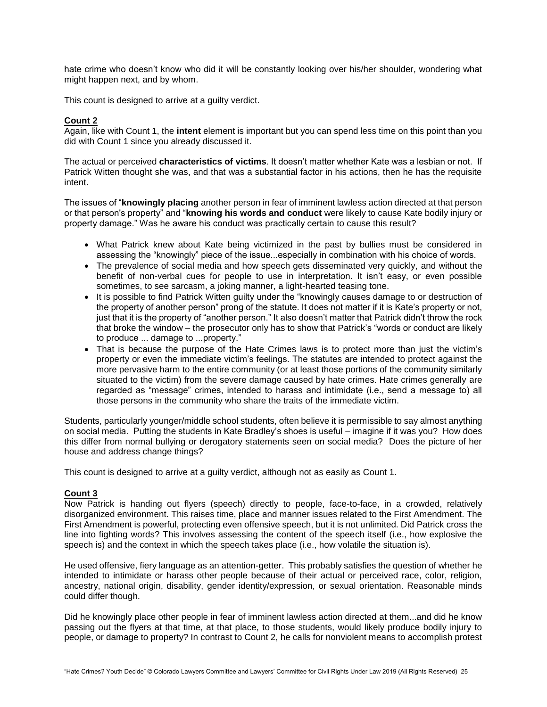hate crime who doesn't know who did it will be constantly looking over his/her shoulder, wondering what might happen next, and by whom.

This count is designed to arrive at a guilty verdict.

#### **Count 2**

Again, like with Count 1, the **intent** element is important but you can spend less time on this point than you did with Count 1 since you already discussed it.

The actual or perceived **characteristics of victims**. It doesn't matter whether Kate was a lesbian or not. If Patrick Witten thought she was, and that was a substantial factor in his actions, then he has the requisite intent.

The issues of "**knowingly placing** another person in fear of imminent lawless action directed at that person or that person's property" and "**knowing his words and conduct** were likely to cause Kate bodily injury or property damage." Was he aware his conduct was practically certain to cause this result?

- What Patrick knew about Kate being victimized in the past by bullies must be considered in assessing the "knowingly" piece of the issue...especially in combination with his choice of words.
- The prevalence of social media and how speech gets disseminated very quickly, and without the benefit of non-verbal cues for people to use in interpretation. It isn't easy, or even possible sometimes, to see sarcasm, a joking manner, a light-hearted teasing tone.
- It is possible to find Patrick Witten guilty under the "knowingly causes damage to or destruction of the property of another person" prong of the statute. It does not matter if it is Kate's property or not, just that it is the property of "another person." It also doesn't matter that Patrick didn't throw the rock that broke the window – the prosecutor only has to show that Patrick's "words or conduct are likely to produce ... damage to ...property."
- That is because the purpose of the Hate Crimes laws is to protect more than just the victim's property or even the immediate victim's feelings. The statutes are intended to protect against the more pervasive harm to the entire community (or at least those portions of the community similarly situated to the victim) from the severe damage caused by hate crimes. Hate crimes generally are regarded as "message" crimes, intended to harass and intimidate (i.e., send a message to) all those persons in the community who share the traits of the immediate victim.

Students, particularly younger/middle school students, often believe it is permissible to say almost anything on social media. Putting the students in Kate Bradley's shoes is useful – imagine if it was you? How does this differ from normal bullying or derogatory statements seen on social media? Does the picture of her house and address change things?

This count is designed to arrive at a guilty verdict, although not as easily as Count 1.

#### **Count 3**

Now Patrick is handing out flyers (speech) directly to people, face-to-face, in a crowded, relatively disorganized environment. This raises time, place and manner issues related to the First Amendment. The First Amendment is powerful, protecting even offensive speech, but it is not unlimited. Did Patrick cross the line into fighting words? This involves assessing the content of the speech itself (i.e., how explosive the speech is) and the context in which the speech takes place (i.e., how volatile the situation is).

He used offensive, fiery language as an attention-getter. This probably satisfies the question of whether he intended to intimidate or harass other people because of their actual or perceived race, color, religion, ancestry, national origin, disability, gender identity/expression, or sexual orientation. Reasonable minds could differ though.

Did he knowingly place other people in fear of imminent lawless action directed at them...and did he know passing out the flyers at that time, at that place, to those students, would likely produce bodily injury to people, or damage to property? In contrast to Count 2, he calls for nonviolent means to accomplish protest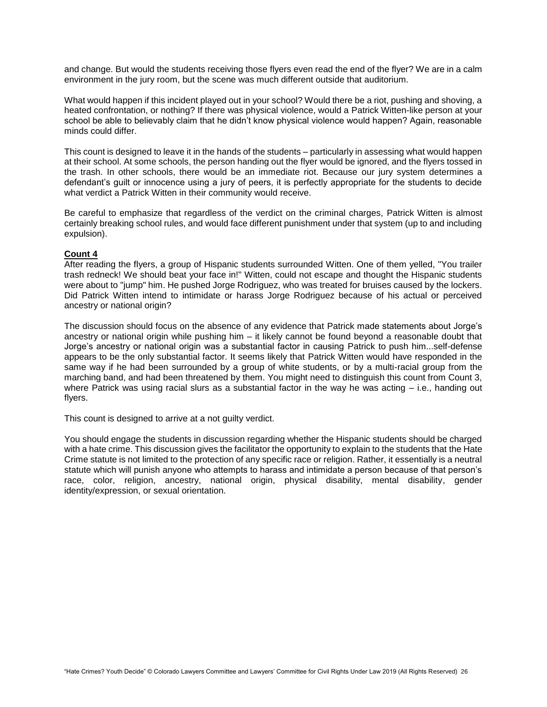and change. But would the students receiving those flyers even read the end of the flyer? We are in a calm environment in the jury room, but the scene was much different outside that auditorium.

What would happen if this incident played out in your school? Would there be a riot, pushing and shoving, a heated confrontation, or nothing? If there was physical violence, would a Patrick Witten-like person at your school be able to believably claim that he didn't know physical violence would happen? Again, reasonable minds could differ.

This count is designed to leave it in the hands of the students – particularly in assessing what would happen at their school. At some schools, the person handing out the flyer would be ignored, and the flyers tossed in the trash. In other schools, there would be an immediate riot. Because our jury system determines a defendant's guilt or innocence using a jury of peers, it is perfectly appropriate for the students to decide what verdict a Patrick Witten in their community would receive.

Be careful to emphasize that regardless of the verdict on the criminal charges, Patrick Witten is almost certainly breaking school rules, and would face different punishment under that system (up to and including expulsion).

#### **Count 4**

After reading the flyers, a group of Hispanic students surrounded Witten. One of them yelled, "You trailer trash redneck! We should beat your face in!" Witten, could not escape and thought the Hispanic students were about to "jump" him. He pushed Jorge Rodriguez, who was treated for bruises caused by the lockers. Did Patrick Witten intend to intimidate or harass Jorge Rodriguez because of his actual or perceived ancestry or national origin?

The discussion should focus on the absence of any evidence that Patrick made statements about Jorge's ancestry or national origin while pushing him – it likely cannot be found beyond a reasonable doubt that Jorge's ancestry or national origin was a substantial factor in causing Patrick to push him...self-defense appears to be the only substantial factor. It seems likely that Patrick Witten would have responded in the same way if he had been surrounded by a group of white students, or by a multi-racial group from the marching band, and had been threatened by them. You might need to distinguish this count from Count 3, where Patrick was using racial slurs as a substantial factor in the way he was acting – i.e., handing out flyers.

This count is designed to arrive at a not guilty verdict.

You should engage the students in discussion regarding whether the Hispanic students should be charged with a hate crime. This discussion gives the facilitator the opportunity to explain to the students that the Hate Crime statute is not limited to the protection of any specific race or religion. Rather, it essentially is a neutral statute which will punish anyone who attempts to harass and intimidate a person because of that person's race, color, religion, ancestry, national origin, physical disability, mental disability, gender identity/expression, or sexual orientation.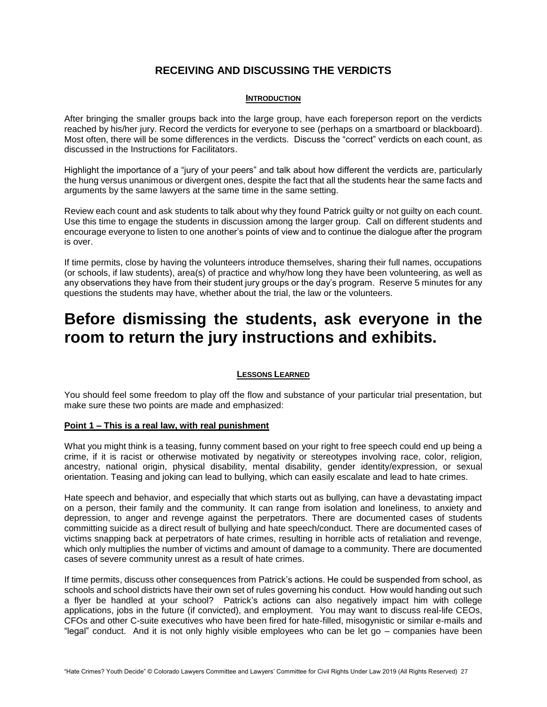# **RECEIVING AND DISCUSSING THE VERDICTS**

#### **INTRODUCTION**

After bringing the smaller groups back into the large group, have each foreperson report on the verdicts reached by his/her jury. Record the verdicts for everyone to see (perhaps on a smartboard or blackboard). Most often, there will be some differences in the verdicts. Discuss the "correct" verdicts on each count, as discussed in the Instructions for Facilitators.

Highlight the importance of a "jury of your peers" and talk about how different the verdicts are, particularly the hung versus unanimous or divergent ones, despite the fact that all the students hear the same facts and arguments by the same lawyers at the same time in the same setting.

Review each count and ask students to talk about why they found Patrick guilty or not guilty on each count. Use this time to engage the students in discussion among the larger group. Call on different students and encourage everyone to listen to one another's points of view and to continue the dialogue after the program is over.

If time permits, close by having the volunteers introduce themselves, sharing their full names, occupations (or schools, if law students), area(s) of practice and why/how long they have been volunteering, as well as any observations they have from their student jury groups or the day's program. Reserve 5 minutes for any questions the students may have, whether about the trial, the law or the volunteers.

# **Before dismissing the students, ask everyone in the room to return the jury instructions and exhibits.**

#### **LESSONS LEARNED**

You should feel some freedom to play off the flow and substance of your particular trial presentation, but make sure these two points are made and emphasized:

#### **Point 1 – This is a real law, with real punishment**

What you might think is a teasing, funny comment based on your right to free speech could end up being a crime, if it is racist or otherwise motivated by negativity or stereotypes involving race, color, religion, ancestry, national origin, physical disability, mental disability, gender identity/expression, or sexual orientation. Teasing and joking can lead to bullying, which can easily escalate and lead to hate crimes.

Hate speech and behavior, and especially that which starts out as bullying, can have a devastating impact on a person, their family and the community. It can range from isolation and loneliness, to anxiety and depression, to anger and revenge against the perpetrators. There are documented cases of students committing suicide as a direct result of bullying and hate speech/conduct. There are documented cases of victims snapping back at perpetrators of hate crimes, resulting in horrible acts of retaliation and revenge, which only multiplies the number of victims and amount of damage to a community. There are documented cases of severe community unrest as a result of hate crimes.

If time permits, discuss other consequences from Patrick's actions. He could be suspended from school, as schools and school districts have their own set of rules governing his conduct. How would handing out such a flyer be handled at your school? Patrick's actions can also negatively impact him with college applications, jobs in the future (if convicted), and employment. You may want to discuss real-life CEOs, CFOs and other C-suite executives who have been fired for hate-filled, misogynistic or similar e-mails and "legal" conduct. And it is not only highly visible employees who can be let go – companies have been